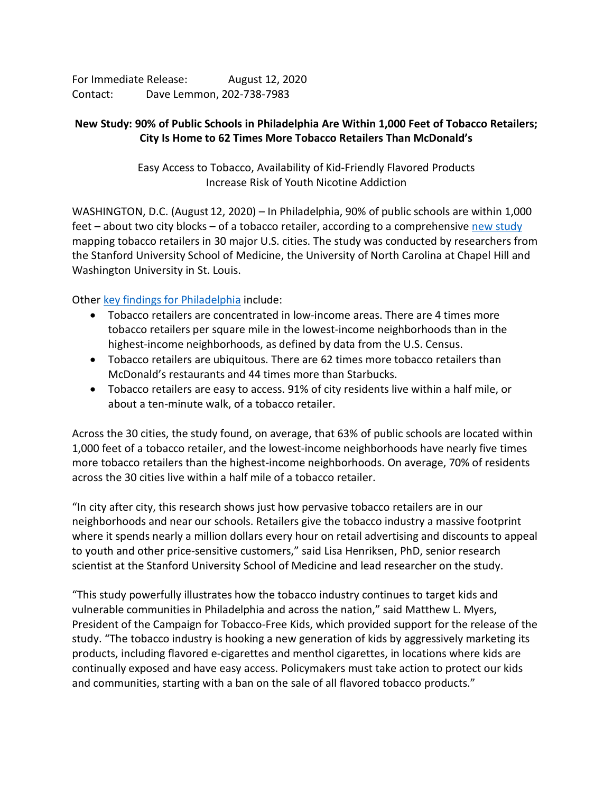For Immediate Release: August 12, 2020 Contact: Dave Lemmon, 202-738-7983

## **New Study: 90% of Public Schools in Philadelphia Are Within 1,000 Feet of Tobacco Retailers; City Is Home to 62 Times More Tobacco Retailers Than McDonald's**

Easy Access to Tobacco, Availability of Kid-Friendly Flavored Products Increase Risk of Youth Nicotine Addiction

WASHINGTON, D.C. (August 12, 2020) – In Philadelphia, 90% of public schools are within 1,000 feet – about two city blocks – of a tobacco retailer, according to a comprehensive [new study](https://aspirecenter.org/tobaccoretailers/) mapping tobacco retailers in 30 major U.S. cities. The study was conducted by researchers from the Stanford University School of Medicine, the University of North Carolina at Chapel Hill and Washington University in St. Louis.

Other [key findings for Philadelphia](https://aspirecenter.org/philadelphia/) include:

- Tobacco retailers are concentrated in low-income areas. There are 4 times more tobacco retailers per square mile in the lowest-income neighborhoods than in the highest-income neighborhoods, as defined by data from the U.S. Census.
- Tobacco retailers are ubiquitous. There are 62 times more tobacco retailers than McDonald's restaurants and 44 times more than Starbucks.
- Tobacco retailers are easy to access. 91% of city residents live within a half mile, or about a ten-minute walk, of a tobacco retailer.

Across the 30 cities, the study found, on average, that 63% of public schools are located within 1,000 feet of a tobacco retailer, and the lowest-income neighborhoods have nearly five times more tobacco retailers than the highest-income neighborhoods. On average, 70% of residents across the 30 cities live within a half mile of a tobacco retailer.

"In city after city, this research shows just how pervasive tobacco retailers are in our neighborhoods and near our schools. Retailers give the tobacco industry a massive footprint where it spends nearly a million dollars every hour on retail advertising and discounts to appeal to youth and other price-sensitive customers," said Lisa Henriksen, PhD, senior research scientist at the Stanford University School of Medicine and lead researcher on the study.

"This study powerfully illustrates how the tobacco industry continues to target kids and vulnerable communities in Philadelphia and across the nation," said Matthew L. Myers, President of the Campaign for Tobacco-Free Kids, which provided support for the release of the study. "The tobacco industry is hooking a new generation of kids by aggressively marketing its products, including flavored e-cigarettes and menthol cigarettes, in locations where kids are continually exposed and have easy access. Policymakers must take action to protect our kids and communities, starting with a ban on the sale of all flavored tobacco products."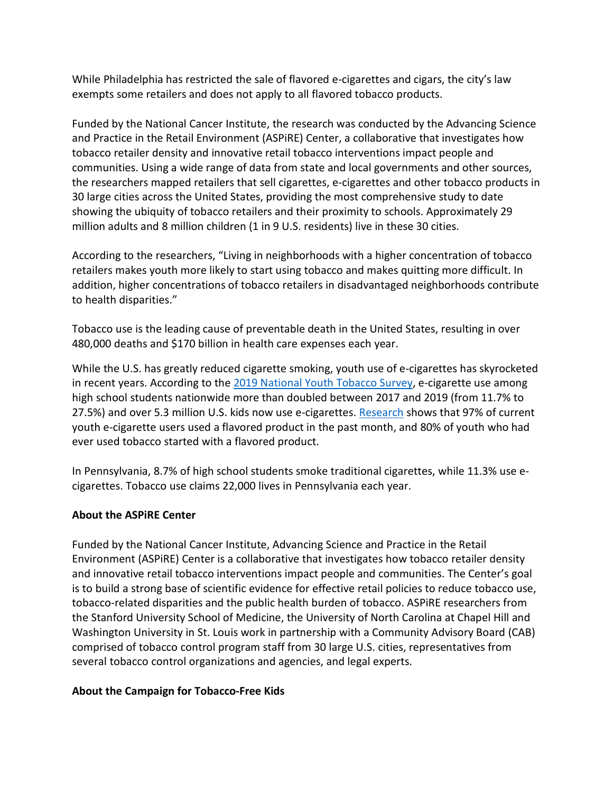While Philadelphia has restricted the sale of flavored e-cigarettes and cigars, the city's law exempts some retailers and does not apply to all flavored tobacco products.

Funded by the National Cancer Institute, the research was conducted by the Advancing Science and Practice in the Retail Environment (ASPiRE) Center, a collaborative that investigates how tobacco retailer density and innovative retail tobacco interventions impact people and communities. Using a wide range of data from state and local governments and other sources, the researchers mapped retailers that sell cigarettes, e-cigarettes and other tobacco products in 30 large cities across the United States, providing the most comprehensive study to date showing the ubiquity of tobacco retailers and their proximity to schools. Approximately 29 million adults and 8 million children (1 in 9 U.S. residents) live in these 30 cities.

According to the researchers, "Living in neighborhoods with a higher concentration of tobacco retailers makes youth more likely to start using tobacco and makes quitting more difficult. In addition, higher concentrations of tobacco retailers in disadvantaged neighborhoods contribute to health disparities."

Tobacco use is the leading cause of preventable death in the United States, resulting in over 480,000 deaths and \$170 billion in health care expenses each year.

While the U.S. has greatly reduced cigarette smoking, youth use of e-cigarettes has skyrocketed in recent years. According to the [2019 National Youth Tobacco Survey,](https://www.fda.gov/news-events/press-announcements/trump-administration-combating-epidemic-youth-e-cigarette-use-plan-clear-market-unauthorized-non) e-cigarette use among high school students nationwide more than doubled between 2017 and 2019 (from 11.7% to 27.5%) and over 5.3 million U.S. kids now use e-cigarettes[. Research](https://www.tobaccofreekids.org/assets/factsheets/0383.pdf) shows that 97% of current youth e-cigarette users used a flavored product in the past month, and 80% of youth who had ever used tobacco started with a flavored product.

In Pennsylvania, 8.7% of high school students smoke traditional cigarettes, while 11.3% use ecigarettes. Tobacco use claims 22,000 lives in Pennsylvania each year.

## **About the ASPiRE Center**

Funded by the National Cancer Institute, Advancing Science and Practice in the Retail Environment (ASPiRE) Center is a collaborative that investigates how tobacco retailer density and innovative retail tobacco interventions impact people and communities. The Center's goal is to build a strong base of scientific evidence for effective retail policies to reduce tobacco use, tobacco-related disparities and the public health burden of tobacco. ASPiRE researchers from the Stanford University School of Medicine, the University of North Carolina at Chapel Hill and Washington University in St. Louis work in partnership with a Community Advisory Board (CAB) comprised of tobacco control program staff from 30 large U.S. cities, representatives from several tobacco control organizations and agencies, and legal experts.

## **About the Campaign for Tobacco-Free Kids**